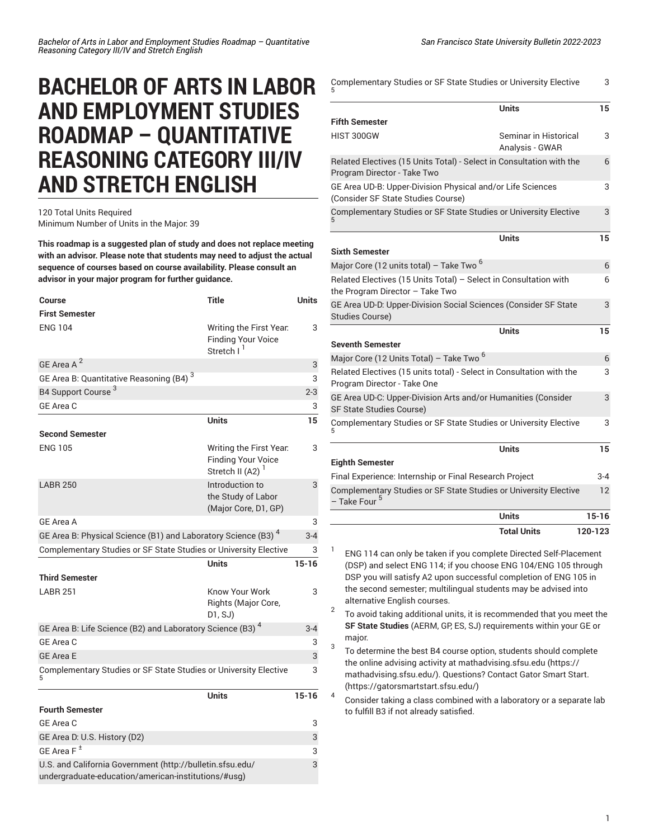## **BACHELOR OF ARTS IN LABOR AND EMPLOYMENT STUDIES ROADMAP – QUANTITATIVE REASONING CATEGORY III/IV AND STRETCH ENGLISH**

## 120 Total Units Required Minimum Number of Units in the Major: 39

**This roadmap is a suggested plan of study and does not replace meeting with an advisor. Please note that students may need to adjust the actual sequence of courses based on course availability. Please consult an advisor in your major program for further guidance.**

| <b>Course</b>                                                                                                    | <b>Title</b>                                                                         | <b>Units</b> |
|------------------------------------------------------------------------------------------------------------------|--------------------------------------------------------------------------------------|--------------|
| <b>First Semester</b>                                                                                            |                                                                                      |              |
| <b>ENG 104</b>                                                                                                   | Writing the First Year.<br><b>Finding Your Voice</b><br>Stretch I <sup>1</sup>       | 3            |
| GE Area A <sup>2</sup>                                                                                           |                                                                                      | 3            |
| GE Area B: Quantitative Reasoning (B4) <sup>3</sup>                                                              |                                                                                      | 3            |
| B4 Support Course <sup>3</sup>                                                                                   |                                                                                      | $2 - 3$      |
| GE Area C                                                                                                        |                                                                                      | 3            |
|                                                                                                                  | <b>Units</b>                                                                         | 15           |
| <b>Second Semester</b>                                                                                           |                                                                                      |              |
| <b>ENG 105</b>                                                                                                   | Writing the First Year.<br><b>Finding Your Voice</b><br>Stretch II (A2) <sup>1</sup> | 3            |
| <b>LABR 250</b>                                                                                                  | Introduction to<br>the Study of Labor<br>(Major Core, D1, GP)                        | 3            |
| <b>GE Area A</b>                                                                                                 |                                                                                      | 3            |
| GE Area B: Physical Science (B1) and Laboratory Science (B3) <sup>4</sup>                                        |                                                                                      | $3 - 4$      |
| Complementary Studies or SF State Studies or University Elective                                                 |                                                                                      |              |
|                                                                                                                  | <b>Units</b>                                                                         | $15 - 16$    |
| <b>Third Semester</b>                                                                                            |                                                                                      |              |
| <b>LABR 251</b>                                                                                                  | Know Your Work<br>Rights (Major Core,<br>D1, SJ)                                     | 3            |
| GE Area B: Life Science (B2) and Laboratory Science (B3) 4                                                       |                                                                                      | $3 - 4$      |
| GE Area C                                                                                                        |                                                                                      | 3            |
| <b>GE Area E</b>                                                                                                 |                                                                                      | 3            |
| Complementary Studies or SF State Studies or University Elective<br>5                                            |                                                                                      | 3            |
|                                                                                                                  | <b>Units</b>                                                                         | $15 - 16$    |
| <b>Fourth Semester</b>                                                                                           |                                                                                      |              |
| GE Area C                                                                                                        |                                                                                      | 3            |
| GE Area D: U.S. History (D2)                                                                                     |                                                                                      | 3            |
| GE Area $F^{\pm}$                                                                                                |                                                                                      | 3            |
| U.S. and California Government (http://bulletin.sfsu.edu/<br>undergraduate-education/american-institutions/#usg) |                                                                                      |              |

| Complementary Studies or SF State Studies or University Elective |  |
|------------------------------------------------------------------|--|
|                                                                  |  |

|                                                                                                                                                                                                                                                                                                                 | Units                                    | 15        |
|-----------------------------------------------------------------------------------------------------------------------------------------------------------------------------------------------------------------------------------------------------------------------------------------------------------------|------------------------------------------|-----------|
| <b>Fifth Semester</b>                                                                                                                                                                                                                                                                                           |                                          |           |
| HIST 300GW                                                                                                                                                                                                                                                                                                      | Seminar in Historical<br>Analysis - GWAR | 3         |
| Related Electives (15 Units Total) - Select in Consultation with the<br>Program Director - Take Two                                                                                                                                                                                                             |                                          | 6         |
| GE Area UD-B: Upper-Division Physical and/or Life Sciences<br>(Consider SF State Studies Course)                                                                                                                                                                                                                |                                          | 3         |
| Complementary Studies or SF State Studies or University Elective                                                                                                                                                                                                                                                |                                          | 3         |
| <b>Sixth Semester</b>                                                                                                                                                                                                                                                                                           | Units                                    | 15        |
| Major Core (12 units total) – Take Two <sup>6</sup>                                                                                                                                                                                                                                                             |                                          | 6         |
| Related Electives (15 Units Total) - Select in Consultation with<br>the Program Director - Take Two                                                                                                                                                                                                             |                                          | 6         |
| GE Area UD-D: Upper-Division Social Sciences (Consider SF State<br><b>Studies Course)</b>                                                                                                                                                                                                                       |                                          | 3         |
|                                                                                                                                                                                                                                                                                                                 | <b>Units</b>                             | 15        |
| <b>Seventh Semester</b>                                                                                                                                                                                                                                                                                         |                                          |           |
| Major Core (12 Units Total) - Take Two <sup>6</sup>                                                                                                                                                                                                                                                             |                                          | 6         |
| Related Electives (15 units total) - Select in Consultation with the<br>Program Director - Take One                                                                                                                                                                                                             |                                          | 3         |
| GE Area UD-C: Upper-Division Arts and/or Humanities (Consider<br>SF State Studies Course)                                                                                                                                                                                                                       |                                          | 3         |
| Complementary Studies or SF State Studies or University Elective<br>5                                                                                                                                                                                                                                           |                                          | 3         |
|                                                                                                                                                                                                                                                                                                                 | <b>Units</b>                             | 15        |
| <b>Eighth Semester</b><br>Final Experience: Internship or Final Research Project                                                                                                                                                                                                                                |                                          | 3-4       |
| Complementary Studies or SF State Studies or University Elective                                                                                                                                                                                                                                                |                                          | 12        |
| – Take Four <sup>5</sup>                                                                                                                                                                                                                                                                                        |                                          |           |
|                                                                                                                                                                                                                                                                                                                 | <b>Units</b>                             | $15 - 16$ |
|                                                                                                                                                                                                                                                                                                                 | <b>Total Units</b>                       | 120-123   |
| 1<br>ENG 114 can only be taken if you complete Directed Self-Placement<br>(DSP) and select ENG 114; if you choose ENG 104/ENG 105 through<br>DSP you will satisfy A2 upon successful completion of ENG 105 in<br>the second semester; multilingual students may be advised into<br>alternative English courses. |                                          |           |
| 2<br>To avoid taking additional units, it is recommended that you meet the<br>SF State Studies (AERM, GP, ES, SJ) requirements within your GE or<br>major.                                                                                                                                                      |                                          |           |
| 3<br>To determine the best B4 course option, students should complete                                                                                                                                                                                                                                           |                                          |           |

the online advising activity at [mathadvising.sfsu.edu \(https://](https://mathadvising.sfsu.edu/) [mathadvising.sfsu.edu/](https://mathadvising.sfsu.edu/)). Questions? Contact Gator [Smart](https://gatorsmartstart.sfsu.edu/) Start. [\(https://gatorsmartstart.sfsu.edu/](https://gatorsmartstart.sfsu.edu/))

4

Consider taking a class combined with a laboratory or a separate lab to fulfill B3 if not already satisfied.